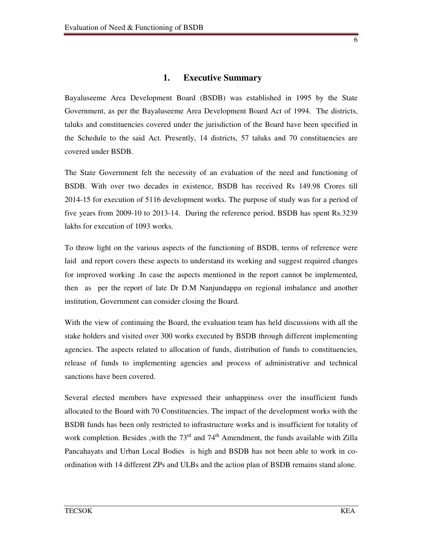## **1. Executive Summary**

Bayaluseeme Area Development Board (BSDB) was established in 1995 by the State Government, as per the Bayaluseeme Area Development Board Act of 1994. The districts, taluks and constituencies covered under the jurisdiction of the Board have been specified in the Schedule to the said Act. Presently, 14 districts, 57 taluks and 70 constituencies are covered under BSDB.

The State Government felt the necessity of an evaluation of the need and functioning of BSDB. With over two decades in existence, BSDB has received Rs 149.98 Crores till 2014-15 for execution of 5116 development works. The purpose of study was for a period of five years from 2009-10 to 2013-14. During the reference period, BSDB has spent Rs.3239 lakhs for execution of 1093 works.

To throw light on the various aspects of the functioning of BSDB, terms of reference were laid and report covers these aspects to understand its working and suggest required changes for improved working .In case the aspects mentioned in the report cannot be implemented, then as per the report of late Dr D.M Nanjundappa on regional imbalance and another institution, Government can consider closing the Board.

With the view of continuing the Board, the evaluation team has held discussions with all the stake holders and visited over 300 works executed by BSDB through different implementing agencies. The aspects related to allocation of funds, distribution of funds to constituencies, release of funds to implementing agencies and process of administrative and technical sanctions have been covered.

Several elected members have expressed their unhappiness over the insufficient funds allocated to the Board with 70 Constituencies. The impact of the development works with the BSDB funds has been only restricted to infrastructure works and is insufficient for totality of work completion. Besides ,with the  $73<sup>rd</sup>$  and  $74<sup>th</sup>$  Amendment, the funds available with Zilla Pancahayats and Urban Local Bodies is high and BSDB has not been able to work in coordination with 14 different ZPs and ULBs and the action plan of BSDB remains stand alone.